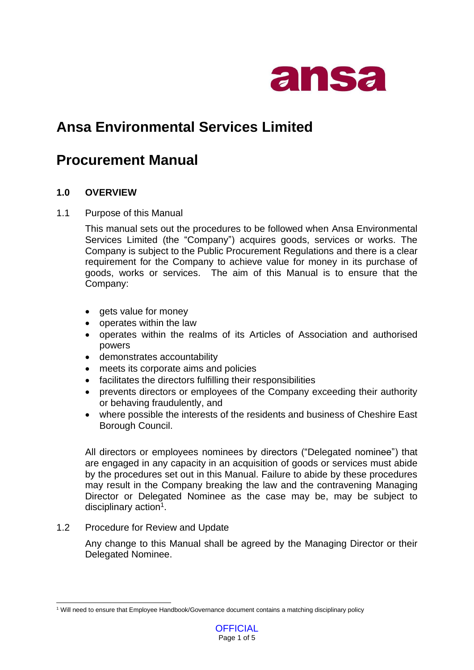

# **Ansa Environmental Services Limited**

## **Procurement Manual**

## **1.0 OVERVIEW**

#### 1.1 Purpose of this Manual

This manual sets out the procedures to be followed when Ansa Environmental Services Limited (the "Company") acquires goods, services or works. The Company is subject to the Public Procurement Regulations and there is a clear requirement for the Company to achieve value for money in its purchase of goods, works or services. The aim of this Manual is to ensure that the Company:

- gets value for money
- operates within the law
- operates within the realms of its Articles of Association and authorised powers
- demonstrates accountability
- meets its corporate aims and policies
- facilitates the directors fulfilling their responsibilities
- prevents directors or employees of the Company exceeding their authority or behaving fraudulently, and
- where possible the interests of the residents and business of Cheshire East Borough Council.

All directors or employees nominees by directors ("Delegated nominee") that are engaged in any capacity in an acquisition of goods or services must abide by the procedures set out in this Manual. Failure to abide by these procedures may result in the Company breaking the law and the contravening Managing Director or Delegated Nominee as the case may be, may be subject to disciplinary action<sup>1</sup>.

1.2 Procedure for Review and Update

Any change to this Manual shall be agreed by the Managing Director or their Delegated Nominee.

<sup>1</sup> Will need to ensure that Employee Handbook/Governance document contains a matching disciplinary policy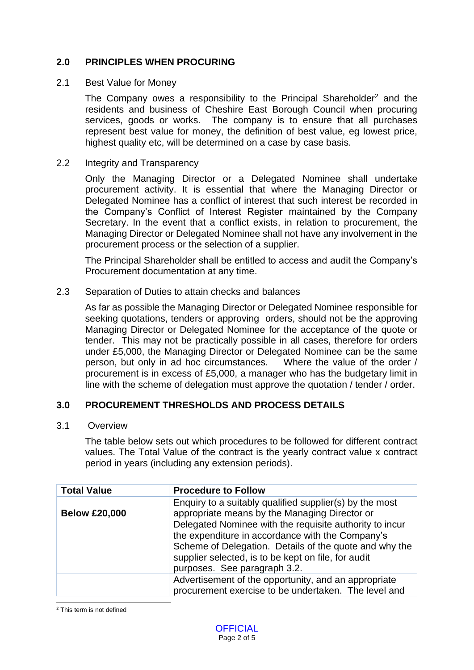## **2.0 PRINCIPLES WHEN PROCURING**

#### 2.1 Best Value for Money

The Company owes a responsibility to the Principal Shareholder<sup>2</sup> and the residents and business of Cheshire East Borough Council when procuring services, goods or works. The company is to ensure that all purchases represent best value for money, the definition of best value, eg lowest price, highest quality etc, will be determined on a case by case basis.

#### 2.2 Integrity and Transparency

Only the Managing Director or a Delegated Nominee shall undertake procurement activity. It is essential that where the Managing Director or Delegated Nominee has a conflict of interest that such interest be recorded in the Company's Conflict of Interest Register maintained by the Company Secretary. In the event that a conflict exists, in relation to procurement, the Managing Director or Delegated Nominee shall not have any involvement in the procurement process or the selection of a supplier.

The Principal Shareholder shall be entitled to access and audit the Company's Procurement documentation at any time.

#### 2.3 Separation of Duties to attain checks and balances

As far as possible the Managing Director or Delegated Nominee responsible for seeking quotations, tenders or approving orders, should not be the approving Managing Director or Delegated Nominee for the acceptance of the quote or tender. This may not be practically possible in all cases, therefore for orders under £5,000, the Managing Director or Delegated Nominee can be the same person, but only in ad hoc circumstances. Where the value of the order / procurement is in excess of £5,000, a manager who has the budgetary limit in line with the scheme of delegation must approve the quotation / tender / order.

#### **3.0 PROCUREMENT THRESHOLDS AND PROCESS DETAILS**

#### 3.1 Overview

The table below sets out which procedures to be followed for different contract values. The Total Value of the contract is the yearly contract value x contract period in years (including any extension periods).

| <b>Total Value</b>   | <b>Procedure to Follow</b>                                                                                                                                                                                                                                                                                                                                               |
|----------------------|--------------------------------------------------------------------------------------------------------------------------------------------------------------------------------------------------------------------------------------------------------------------------------------------------------------------------------------------------------------------------|
| <b>Below £20,000</b> | Enquiry to a suitably qualified supplier(s) by the most<br>appropriate means by the Managing Director or<br>Delegated Nominee with the requisite authority to incur<br>the expenditure in accordance with the Company's<br>Scheme of Delegation. Details of the quote and why the<br>supplier selected, is to be kept on file, for audit<br>purposes. See paragraph 3.2. |
|                      | Advertisement of the opportunity, and an appropriate<br>procurement exercise to be undertaken. The level and                                                                                                                                                                                                                                                             |

<sup>2</sup> This term is not defined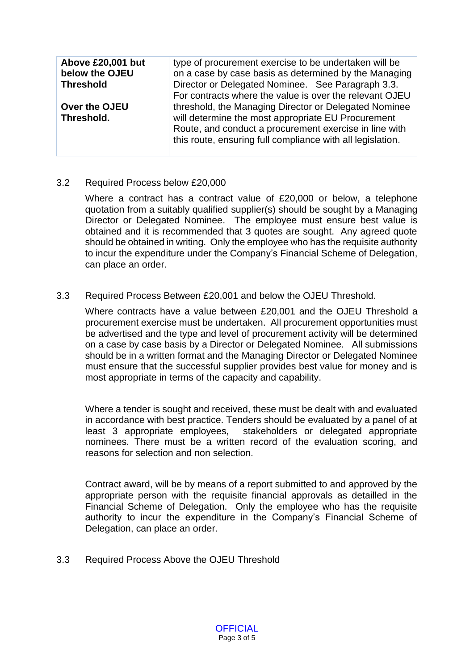| Above £20,001 but<br>below the OJEU<br><b>Threshold</b> | type of procurement exercise to be undertaken will be<br>on a case by case basis as determined by the Managing<br>Director or Delegated Nominee. See Paragraph 3.3.                                                                                                                            |
|---------------------------------------------------------|------------------------------------------------------------------------------------------------------------------------------------------------------------------------------------------------------------------------------------------------------------------------------------------------|
| Over the OJEU<br>Threshold.                             | For contracts where the value is over the relevant OJEU<br>threshold, the Managing Director or Delegated Nominee<br>will determine the most appropriate EU Procurement<br>Route, and conduct a procurement exercise in line with<br>this route, ensuring full compliance with all legislation. |

#### 3.2 Required Process below £20,000

Where a contract has a contract value of £20,000 or below, a telephone quotation from a suitably qualified supplier(s) should be sought by a Managing Director or Delegated Nominee. The employee must ensure best value is obtained and it is recommended that 3 quotes are sought. Any agreed quote should be obtained in writing. Only the employee who has the requisite authority to incur the expenditure under the Company's Financial Scheme of Delegation, can place an order.

#### 3.3 Required Process Between £20,001 and below the OJEU Threshold.

Where contracts have a value between £20,001 and the OJEU Threshold a procurement exercise must be undertaken. All procurement opportunities must be advertised and the type and level of procurement activity will be determined on a case by case basis by a Director or Delegated Nominee. All submissions should be in a written format and the Managing Director or Delegated Nominee must ensure that the successful supplier provides best value for money and is most appropriate in terms of the capacity and capability.

Where a tender is sought and received, these must be dealt with and evaluated in accordance with best practice. Tenders should be evaluated by a panel of at least 3 appropriate employees, stakeholders or delegated appropriate nominees. There must be a written record of the evaluation scoring, and reasons for selection and non selection.

Contract award, will be by means of a report submitted to and approved by the appropriate person with the requisite financial approvals as detailled in the Financial Scheme of Delegation. Only the employee who has the requisite authority to incur the expenditure in the Company's Financial Scheme of Delegation, can place an order.

3.3 Required Process Above the OJEU Threshold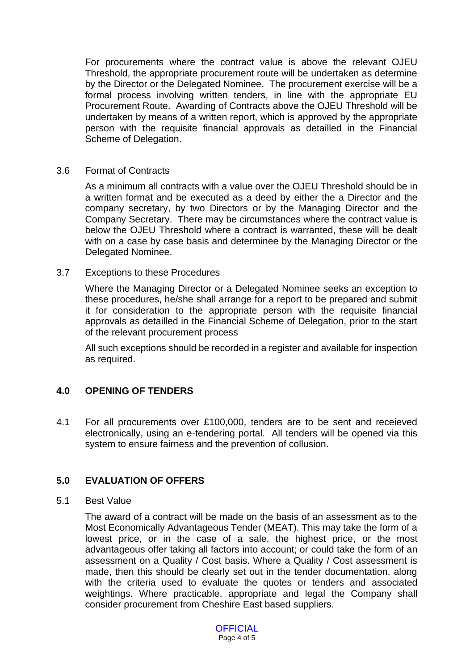For procurements where the contract value is above the relevant OJEU Threshold, the appropriate procurement route will be undertaken as determine by the Director or the Delegated Nominee. The procurement exercise will be a formal process involving written tenders, in line with the appropriate EU Procurement Route. Awarding of Contracts above the OJEU Threshold will be undertaken by means of a written report, which is approved by the appropriate person with the requisite financial approvals as detailled in the Financial Scheme of Delegation.

#### 3.6 Format of Contracts

As a minimum all contracts with a value over the OJEU Threshold should be in a written format and be executed as a deed by either the a Director and the company secretary, by two Directors or by the Managing Director and the Company Secretary. There may be circumstances where the contract value is below the OJEU Threshold where a contract is warranted, these will be dealt with on a case by case basis and determinee by the Managing Director or the Delegated Nominee.

#### 3.7 Exceptions to these Procedures

Where the Managing Director or a Delegated Nominee seeks an exception to these procedures, he/she shall arrange for a report to be prepared and submit it for consideration to the appropriate person with the requisite financial approvals as detailled in the Financial Scheme of Delegation, prior to the start of the relevant procurement process

All such exceptions should be recorded in a register and available for inspection as required.

#### **4.0 OPENING OF TENDERS**

4.1 For all procurements over £100,000, tenders are to be sent and receieved electronically, using an e-tendering portal. All tenders will be opened via this system to ensure fairness and the prevention of collusion.

#### **5.0 EVALUATION OF OFFERS**

#### 5.1 Best Value

The award of a contract will be made on the basis of an assessment as to the Most Economically Advantageous Tender (MEAT). This may take the form of a lowest price, or in the case of a sale, the highest price, or the most advantageous offer taking all factors into account; or could take the form of an assessment on a Quality / Cost basis. Where a Quality / Cost assessment is made, then this should be clearly set out in the tender documentation, along with the criteria used to evaluate the quotes or tenders and associated weightings. Where practicable, appropriate and legal the Company shall consider procurement from Cheshire East based suppliers.